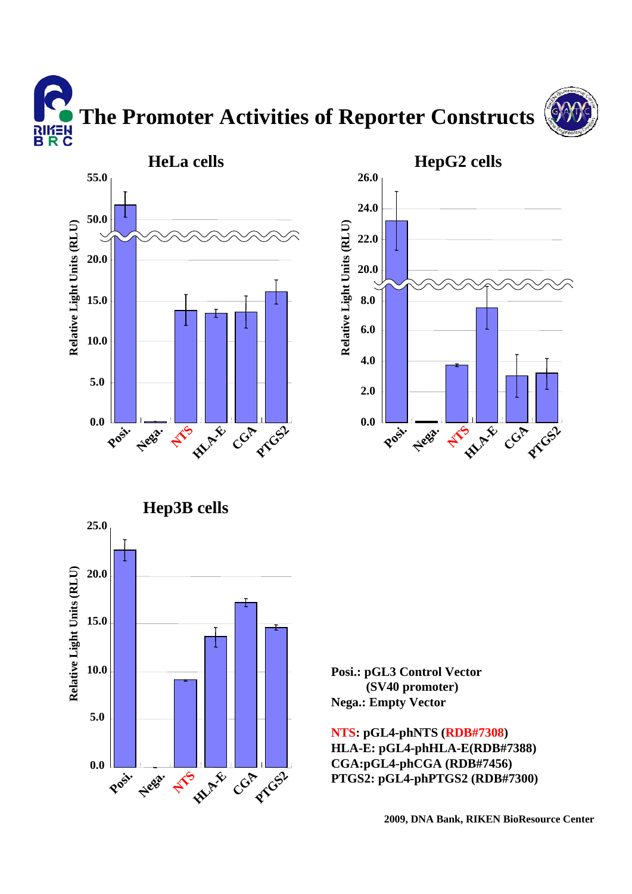**The Promoter Activities of Reporter Constructs** א∃*ו*וא<br>B R C







**Posi.: pGL3 Control Vector (SV40 promoter) Nega.: Empty Vector**

**NTS: pGL4-phNTS (RDB#7308) HLA-E: pGL4-phHLA-E(RDB#7388) CGA:pGL4-phCGA (RDB#7456) PTGS2: pGL4-phPTGS2 (RDB#7300)**

**2009, DNA Bank, RIKEN BioResource Center**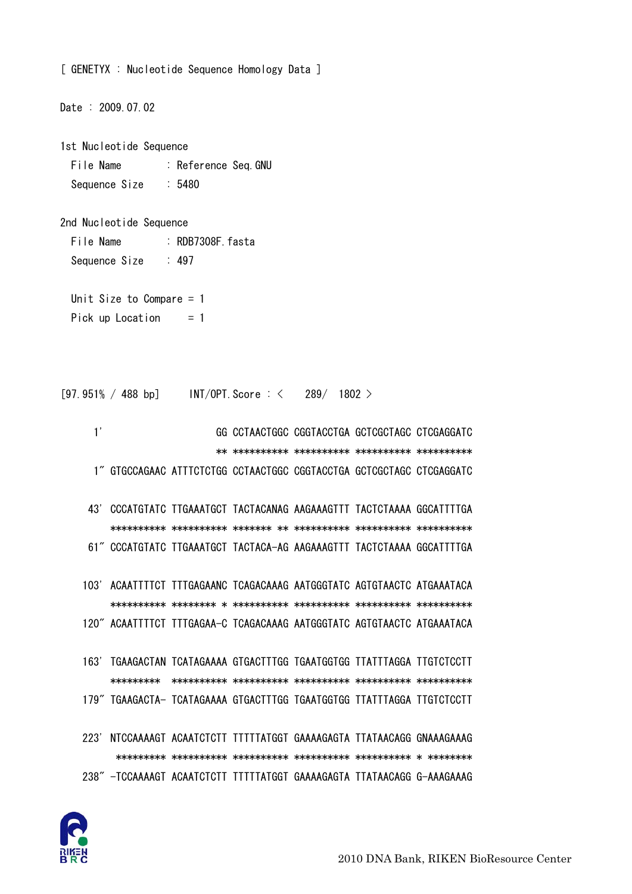

179" TGAAGACTA- TCATAGAAAA GTGACTTTGG TGAATGGTGG TTATTTAGGA TTGTCTCCTT 223' NTCCAAAAGT ACAATCTCTT TTTTTATGGT GAAAAGAGTA TTATAACAGG GNAAAGAAAG 238" - TCCAAAAGT ACAATCTCTT TTTTTATGGT GAAAAGAGTA TTATAACAGG G-AAAGAAAG

103' ACAATTTTCT TTTGAGAANC TCAGACAAAG AATGGGTATC AGTGTAACTC ATGAAATACA 120" ACAATTTTCT TTTGAGAA-C TCAGACAAAG AATGGGTATC AGTGTAACTC ATGAAATACA 163' TGAAGACTAN TCATAGAAAA GTGACTTTGG TGAATGGTGG TTATTTAGGA TTGTCTCCTT 

1" GTGCCAGAAC ATTTCTCTGG CCTAACTGGC CGGTACCTGA GCTCGCTAGC CTCGAGGATC 43' CCCATGTATC TTGAAATGCT TACTACANAG AAGAAAGTTT TACTCTAAAA GGCATTTTGA 61" CCCATGTATC TTGAAATGCT TACTACA-AG AAGAAAGTTT TACTCTAAAA GGCATTTTGA

GG CCTAACTGGC CGGTACCTGA GCTCGCTAGC CTCGAGGATC 

```
[97.951\% / 488 bp] INT/OPT. Score : <
                           289/ 1802 >
```
: RDB7308F fasta

Unit Size to Compare  $= 1$ Pick up Location  $= 1$ 

Date: 2009.07.02

1st Nucleotide Sequence File Name : Reference Seq.GNU

 $: 497$ 

Sequence Size

File Name

 $1'$ 

Sequence Size

2nd Nucleotide Sequence

 $:5480$ 

[ GENETYX : Nucleotide Sequence Homology Data ]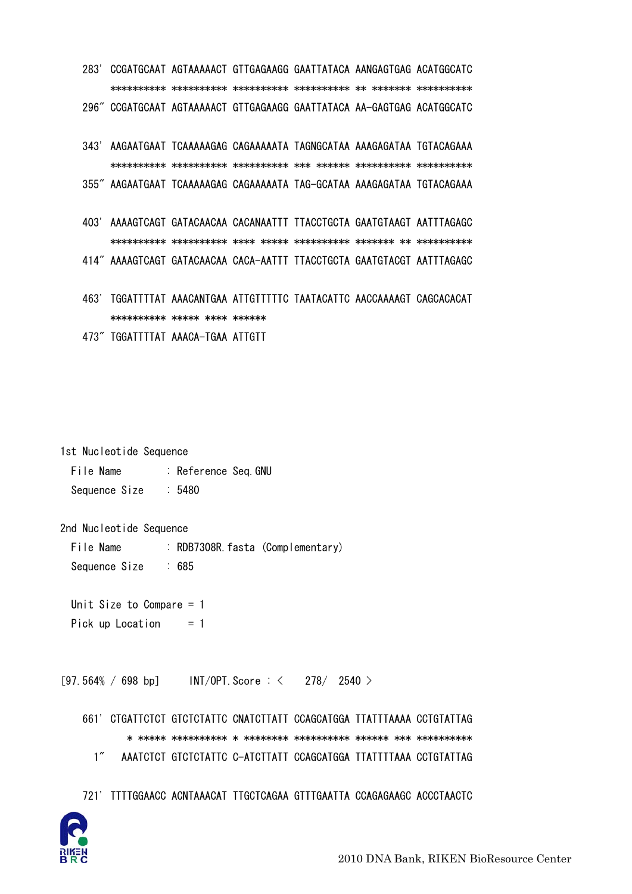283' CCGATGCAAT AGTAAAAACT GTTGAGAAGG GAATTATACA AANGAGTGAG ACATGGCATC 296" CCGATGCAAT AGTAAAAACT GTTGAGAAGG GAATTATACA AA-GAGTGAG ACATGGCATC

- 343' AAGAATGAAT TCAAAAAGAG CAGAAAAATA TAGNGCATAA AAAGAGATAA TGTACAGAAA 355" AAGAATGAAT TCAAAAAGAG CAGAAAAATA TAG-GCATAA AAAGAGATAA TGTACAGAAA
- 403' AAAAGTCAGT GATACAACAA CACANAATTT TTACCTGCTA GAATGTAAGT AATTTAGAGC 414" AAAAGTCAGT GATACAACAA CACA-AATTT TTACCTGCTA GAATGTACGT AATTTAGAGC
- 463' TGGATTTTAT AAACANTGAA ATTGTTTTTC TAATACATTC AACCAAAAGT CAGCACACAT \*\*\*\*\*\*\*\*\*\*\* \*\*\*\*\* \*\*\*\* \*\*\*\*\*\* 473" TGGATTTTAT AAACA-TGAA ATTGTT
- 

1st Nucleotide Sequence

File Name : Reference Seq.GNU  $.5480$ Sequence Size

2nd Nucleotide Sequence

- File Name : RDB7308R. fasta (Complementary) Sequence Size  $\frac{1}{2}$  685
- Unit Size to Compare  $= 1$
- Pick up Location  $= 1$

 $[97.564\% / 698$  bp]  $INT/OPT$ . Score:  $\lt$  278/2540 >

661' CTGATTCTCT GTCTCTATTC CNATCTTATT CCAGCATGGA TTATTTAAAA CCTGTATTAG  $1''$ AAATCTCT GTCTCTATTC C-ATCTTATT CCAGCATGGA TTATTTTAAA CCTGTATTAG

721' TITTGGAACC ACNTAAACAT TTGCTCAGAA GTTTGAATTA CCAGAGAAGC ACCCTAACTC

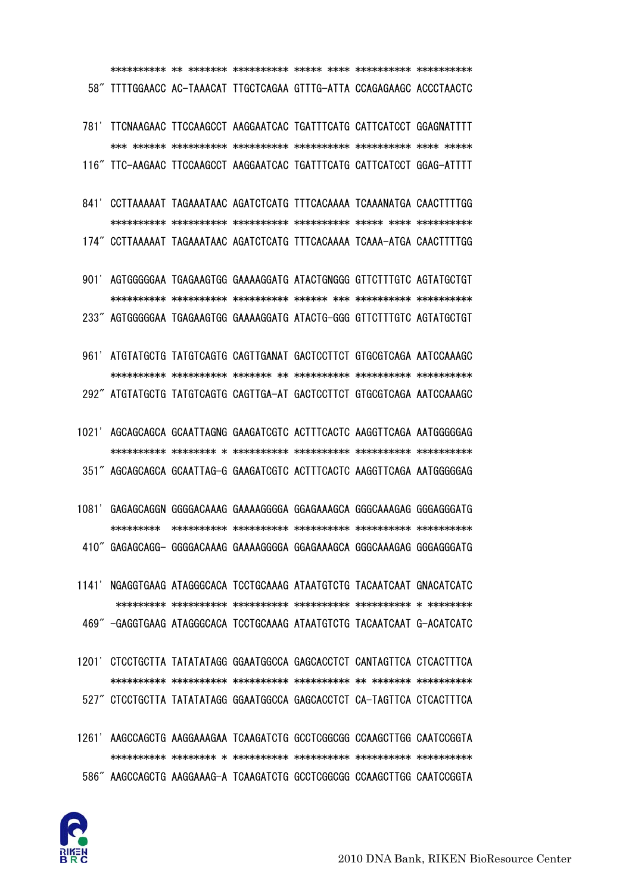

- 1261' AAGCCAGCTG AAGGAAAGAA TCAAGATCTG GCCTCGGCGG CCAAGCTTGG CAATCCGGTA 586" AAGCCAGCTG AAGGAAAG-A TCAAGATCTG GCCTCGGCGG CCAAGCTTGG CAATCCGGTA
- 1201' CTCCTGCTTA TATATATAGG GGAATGGCCA GAGCACCTCT CANTAGTTCA CTCACTTTCA 527" CTCCTGCTTA TATATATAGG GGAATGGCCA GAGCACCTCT CA-TAGTTCA CTCACTTTCA
- 1141' NGAGGTGAAG ATAGGGCACA TCCTGCAAAG ATAATGTCTG TACAATCAAT GNACATCATC 469" -GAGGTGAAG ATAGGGCACA TCCTGCAAAG ATAATGTCTG TACAATCAAT G-ACATCATC
- 

- 1021' AGCAGCAGCA GCAATTAGNG GAAGATCGTC ACTTTCACTC AAGGTTCAGA AATGGGGGAG 351" AGCAGCAGCA GCAATTAG-G GAAGATCGTC ACTTTCACTC AAGGTTCAGA AATGGGGGAG
- 961' ATGTATGCTG TATGTCAGTG CAGTTGANAT GACTCCTTCT GTGCGTCAGA AATCCAAAGC 292" ATGTATGCTG TATGTCAGTG CAGTTGA-AT GACTCCTTCT GTGCGTCAGA AATCCAAAGC
- 901' AGTGGGGGAA TGAGAAGTGG GAAAAGGATG ATACTGNGGG GTTCTTTGTC AGTATGCTGT 233" AGTGGGGGAA TGAGAAGTGG GAAAAGGATG ATACTG-GGG GTTCTTTGTC AGTATGCTGT
- 841' CCTTAAAAAT TAGAAATAAC AGATCTCATG TTTCACAAAA TCAAANATGA CAACTTTTGG 174" CCTTAAAAAT TAGAAATAAC AGATCTCATG TITCACAAAA TCAAA-ATGA CAACTTTTGG
- 781' TTCNAAGAAC TTCCAAGCCT AAGGAATCAC TGATTTCATG CATTCATCCT GGAGNATTTT 116" TTC-AAGAAC TTCCAAGCCT AAGGAATCAC TGATTTCATG CATTCATCCT GGAG-ATTTT

58" TTTTGGAACC AC-TAAACAT TTGCTCAGAA GTTTG-ATTA CCAGAGAAGC ACCCTAACTC